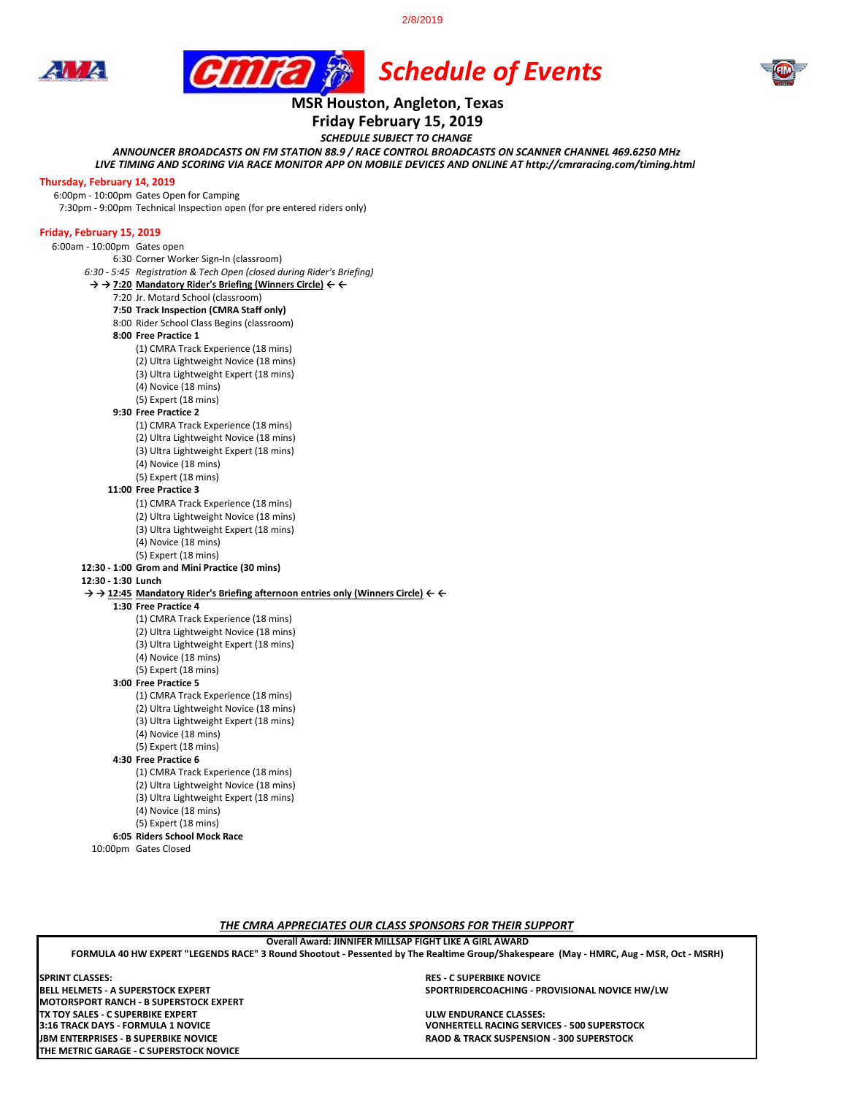2/8/2019

 *Schedule of Events*





# **MSR Houston, Angleton, Texas**

## **Friday February 15, 2019**

*SCHEDULE SUBJECT TO CHANGE*

*LIVE TIMING AND SCORING VIA RACE MONITOR APP ON MOBILE DEVICES AND ONLINE AT http://cmraracing.com/timing.html ANNOUNCER BROADCASTS ON FM STATION 88.9 / RACE CONTROL BROADCASTS ON SCANNER CHANNEL 469.6250 MHz*

#### **Thursday, February 14, 2019**

6:00pm - 10:00pm Gates Open for Camping

7:30pm - 9:00pm Technical Inspection open (for pre entered riders only)

#### **Friday, February 15, 2019**

6:00am - 10:00pm Gates open

6:30 Corner Worker Sign-In (classroom)

*6:30 - 5:45 Registration & Tech Open (closed during Rider's Briefing)*

#### **→ → 7:20 Mandatory Rider's Briefing (Winners Circle) ← ←**

7:20 Jr. Motard School (classroom)

- **7:50 Track Inspection (CMRA Staff only)**
- 8:00 Rider School Class Begins (classroom)
- **8:00 Free Practice 1** 
	- (1) CMRA Track Experience (18 mins)
	- (2) Ultra Lightweight Novice (18 mins)
	- (3) Ultra Lightweight Expert (18 mins)
	- (4) Novice (18 mins)
	- (5) Expert (18 mins)

#### **9:30 Free Practice 2**

- (1) CMRA Track Experience (18 mins) (2) Ultra Lightweight Novice (18 mins)
- (3) Ultra Lightweight Expert (18 mins)
- (4) Novice (18 mins)
- (5) Expert (18 mins)

#### **11:00 Free Practice 3**

- (1) CMRA Track Experience (18 mins)
- (2) Ultra Lightweight Novice (18 mins)
- (3) Ultra Lightweight Expert (18 mins)
- (4) Novice (18 mins)
- (5) Expert (18 mins)
- **12:30 1:00 Grom and Mini Practice (30 mins)**

#### **12:30 - 1:30 Lunch**

- **→ → 12:45 Mandatory Rider's Briefing afternoon entries only (Winners Circle) ← ←**
- **1:30 Free Practice 4** 
	- (1) CMRA Track Experience (18 mins)
	- (2) Ultra Lightweight Novice (18 mins)
	- (3) Ultra Lightweight Expert (18 mins)
	- (4) Novice (18 mins)
	- (5) Expert (18 mins)
	- **3:00 Free Practice 5**
		- (1) CMRA Track Experience (18 mins) (2) Ultra Lightweight Novice (18 mins)
		- (3) Ultra Lightweight Expert (18 mins)
		- (4) Novice (18 mins)
		- (5) Expert (18 mins)

#### **4:30 Free Practice 6**

- (1) CMRA Track Experience (18 mins) (2) Ultra Lightweight Novice (18 mins) (3) Ultra Lightweight Expert (18 mins) (4) Novice (18 mins)
- 
- (5) Expert (18 mins) **6:05 Riders School Mock Race**

10:00pm Gates Closed

*THE CMRA APPRECIATES OUR CLASS SPONSORS FOR THEIR SUPPORT*

#### **Overall Award: JINNIFER MILLSAP FIGHT LIKE A GIRL AWARD**

**FORMULA 40 HW EXPERT "LEGENDS RACE" 3 Round Shootout - Pessented by The Realtime Group/Shakespeare (May - HMRC, Aug - MSR, Oct - MSRH)**

**MOTORSPORT RANCH - B SUPERSTOCK EXPERT TX TOY SALES - C SUPERBIKE EXPERT ULW ENDURANCE CLASSES: THE METRIC GARAGE - C SUPERSTOCK NOVICE SPRINT CLASSES:**

**RES - C SUPERBIKE NOVICE BELL HELMETS - A SUPERSTOCK EXPERT SPORTRIDERCOACHING - PROVISIONAL NOVICE HW/LW**

**2008 YONHERTELL RACING SERVICES - 500 SUPERSTOCK JBM ENTERPRISES - B SUPERBIKE NOVICE RAOD & TRACK SUSPENSION - 300 SUPERSTOCK**